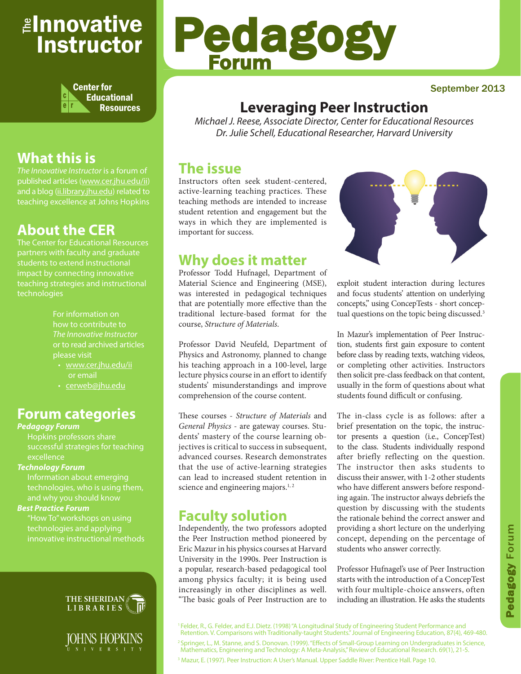# <sub>≝l</sub>nnovative Instructor



# **What this is**

*The Innovative Instructor* is a forum of published articles (www.cer.jhu.edu/ii) and a blog (ii.library.jhu.edu) related to teaching excellence at Johns Hopkins

## **About the CER**

The Center for Educational Resources students to extend instructional teaching strategies and instructional technologies

> For information on how to contribute to *The Innovative Instructor* or to read archived articles please visit

- www.cer.jhu.edu/ii or email
- cerweb@jhu.edu

#### **Forum categories**

#### *Pedagogy Forum*

Hopkins professors share successful strategies for teaching excellence

#### *Technology Forum*

Information about emerging technologies, who is using them,

#### *Best Practice Forum*

"How To" workshops on using technologies and applying innovative instructional methods



IOHNS HOPKINS N I V E R S I T Y



#### September 2013

### **Leveraging Peer Instruction**

*Michael J. Reese, Associate Director, Center for Educational Resources Dr. Julie Schell, Educational Researcher, Harvard University*

### **The issue**

Instructors often seek student-centered, active-learning teaching practices. These teaching methods are intended to increase student retention and engagement but the ways in which they are implemented is important for success.

### **Why does it matter**

Professor Todd Hufnagel, Department of Material Science and Engineering (MSE), was interested in pedagogical techniques that are potentially more effective than the traditional lecture-based format for the course, *Structure of Materials*.

Professor David Neufeld, Department of Physics and Astronomy, planned to change his teaching approach in a 100-level, large lecture physics course in an effort to identify students' misunderstandings and improve comprehension of the course content.

These courses - *Structure of Materials* and *General Physics* - are gateway courses. Students' mastery of the course learning objectives is critical to success in subsequent, advanced courses. Research demonstrates that the use of active-learning strategies can lead to increased student retention in science and engineering majors.<sup>1,2</sup>

### **Faculty solution**

Independently, the two professors adopted the Peer Instruction method pioneered by Eric Mazur in his physics courses at Harvard University in the 1990s. Peer Instruction is a popular, research-based pedagogical tool among physics faculty; it is being used increasingly in other disciplines as well. "The basic goals of Peer Instruction are to



exploit student interaction during lectures and focus students' attention on underlying concepts," using ConcepTests - short conceptual questions on the topic being discussed.<sup>3</sup>

In Mazur's implementation of Peer Instruction, students first gain exposure to content before class by reading texts, watching videos, or completing other activities. Instructors then solicit pre-class feedback on that content, usually in the form of questions about what students found difficult or confusing.

The in-class cycle is as follows: after a brief presentation on the topic, the instructor presents a question (i.e., ConcepTest) to the class. Students individually respond after briefly reflecting on the question. The instructor then asks students to discuss their answer, with 1-2 other students who have different answers before responding again. The instructor always debriefs the question by discussing with the students the rationale behind the correct answer and providing a short lecture on the underlying concept, depending on the percentage of students who answer correctly.

Professor Hufnagel's use of Peer Instruction starts with the introduction of a ConcepTest with four multiple-choice answers, often including an illustration. He asks the students

1 Felder, R., G. Felder, and E.J. Dietz. (1998) "A Longitudinal Study of Engineering Student Performance and Retention. V. Comparisons with Traditionally-taught Students." Journal of Engineering Education, 87(4), 469-480. 2 Springer, L., M. Stanne, and S. Donovan. (1999). "Effects of Small-Group Learning on Undergraduates in Science, Mathematics, Engineering and Technology: A Meta-Analysis," Review of Educational Research. 69(1), 21-5. <sup>3</sup> Mazur, E. (1997). Peer Instruction: A User's Manual. Upper Saddle River: Prentice Hall. Page 10.